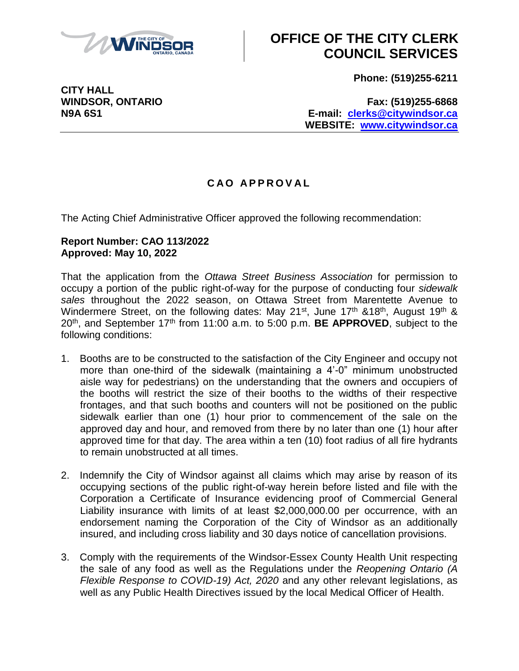

# **OFFICE OF THE CITY CLERK COUNCIL SERVICES**

**Phone: (519)255-6211**

**CITY HALL**

**WINDSOR, ONTARIO Fax: (519)255-6868 N9A 6S1 E-mail: [clerks@citywindsor.ca](mailto:clerks@citywindsor.ca) WEBSITE: [www.citywindsor.ca](http://www.citywindsor.ca/)**

### **C A O A P P R O V A L**

The Acting Chief Administrative Officer approved the following recommendation:

#### **Report Number: CAO 113/2022 Approved: May 10, 2022**

That the application from the *Ottawa Street Business Association* for permission to occupy a portion of the public right-of-way for the purpose of conducting four *sidewalk sales* throughout the 2022 season, on Ottawa Street from Marentette Avenue to Windermere Street, on the following dates: May 21<sup>st</sup>, June 17<sup>th</sup> &18<sup>th</sup>, August 19<sup>th</sup> & 20th, and September 17th from 11:00 a.m. to 5:00 p.m. **BE APPROVED**, subject to the following conditions:

- 1. Booths are to be constructed to the satisfaction of the City Engineer and occupy not more than one-third of the sidewalk (maintaining a 4'-0" minimum unobstructed aisle way for pedestrians) on the understanding that the owners and occupiers of the booths will restrict the size of their booths to the widths of their respective frontages, and that such booths and counters will not be positioned on the public sidewalk earlier than one (1) hour prior to commencement of the sale on the approved day and hour, and removed from there by no later than one (1) hour after approved time for that day. The area within a ten (10) foot radius of all fire hydrants to remain unobstructed at all times.
- 2. Indemnify the City of Windsor against all claims which may arise by reason of its occupying sections of the public right-of-way herein before listed and file with the Corporation a Certificate of Insurance evidencing proof of Commercial General Liability insurance with limits of at least \$2,000,000.00 per occurrence, with an endorsement naming the Corporation of the City of Windsor as an additionally insured, and including cross liability and 30 days notice of cancellation provisions.
- 3. Comply with the requirements of the Windsor-Essex County Health Unit respecting the sale of any food as well as the Regulations under the *Reopening Ontario (A Flexible Response to COVID-19) Act, 2020* and any other relevant legislations, as well as any Public Health Directives issued by the local Medical Officer of Health.